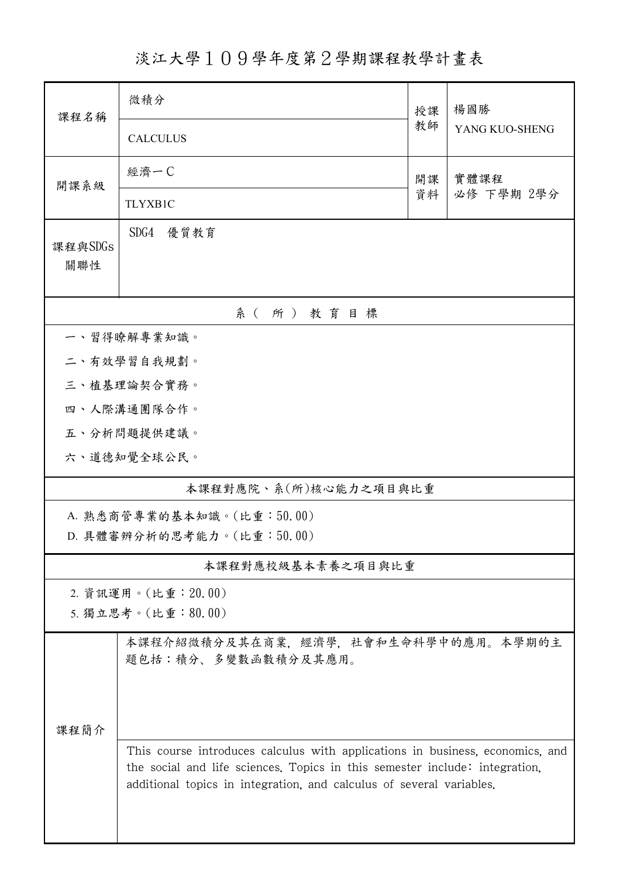淡江大學109學年度第2學期課程教學計畫表

| 課程名稱                  | 微積分                                                                                                                                                                                                                                  | 授課 | 楊國勝<br>YANG KUO-SHENG |  |  |  |  |  |
|-----------------------|--------------------------------------------------------------------------------------------------------------------------------------------------------------------------------------------------------------------------------------|----|-----------------------|--|--|--|--|--|
|                       | <b>CALCULUS</b>                                                                                                                                                                                                                      | 教師 |                       |  |  |  |  |  |
| 開課系級                  | 經濟一C<br>實體課程<br>開課                                                                                                                                                                                                                   |    |                       |  |  |  |  |  |
|                       | <b>TLYXB1C</b>                                                                                                                                                                                                                       | 資料 | 必修 下學期 2學分            |  |  |  |  |  |
| 課程與SDGs<br>關聯性        | SDG4<br>優質教育                                                                                                                                                                                                                         |    |                       |  |  |  |  |  |
| 系(所)教育目標              |                                                                                                                                                                                                                                      |    |                       |  |  |  |  |  |
|                       | 一、習得瞭解專業知識。                                                                                                                                                                                                                          |    |                       |  |  |  |  |  |
|                       | 二、有效學習自我規劃。                                                                                                                                                                                                                          |    |                       |  |  |  |  |  |
| 三、植基理論契合實務。           |                                                                                                                                                                                                                                      |    |                       |  |  |  |  |  |
|                       | 四、人際溝通團隊合作。                                                                                                                                                                                                                          |    |                       |  |  |  |  |  |
|                       | 五、分析問題提供建議。                                                                                                                                                                                                                          |    |                       |  |  |  |  |  |
|                       | 六、道德知覺全球公民。                                                                                                                                                                                                                          |    |                       |  |  |  |  |  |
| 本課程對應院、系(所)核心能力之項目與比重 |                                                                                                                                                                                                                                      |    |                       |  |  |  |  |  |
|                       | A. 熟悉商管專業的基本知識。(比重:50.00)                                                                                                                                                                                                            |    |                       |  |  |  |  |  |
|                       | D. 具體審辨分析的思考能力。(比重:50.00)                                                                                                                                                                                                            |    |                       |  |  |  |  |  |
|                       | 本課程對應校級基本素養之項目與比重                                                                                                                                                                                                                    |    |                       |  |  |  |  |  |
|                       | 2. 資訊運用。(比重: 20.00)                                                                                                                                                                                                                  |    |                       |  |  |  |  |  |
|                       | 5. 獨立思考。(比重:80.00)                                                                                                                                                                                                                   |    |                       |  |  |  |  |  |
|                       | 本課程介紹微積分及其在商業,經濟學,社會和生命科學中的應用。本學期的主<br>題包括:積分、多變數函數積分及其應用。                                                                                                                                                                           |    |                       |  |  |  |  |  |
|                       |                                                                                                                                                                                                                                      |    |                       |  |  |  |  |  |
| 课程简介                  |                                                                                                                                                                                                                                      |    |                       |  |  |  |  |  |
|                       | This course introduces calculus with applications in business, economics, and<br>the social and life sciences. Topics in this semester include: integration,<br>additional topics in integration, and calculus of several variables. |    |                       |  |  |  |  |  |
|                       |                                                                                                                                                                                                                                      |    |                       |  |  |  |  |  |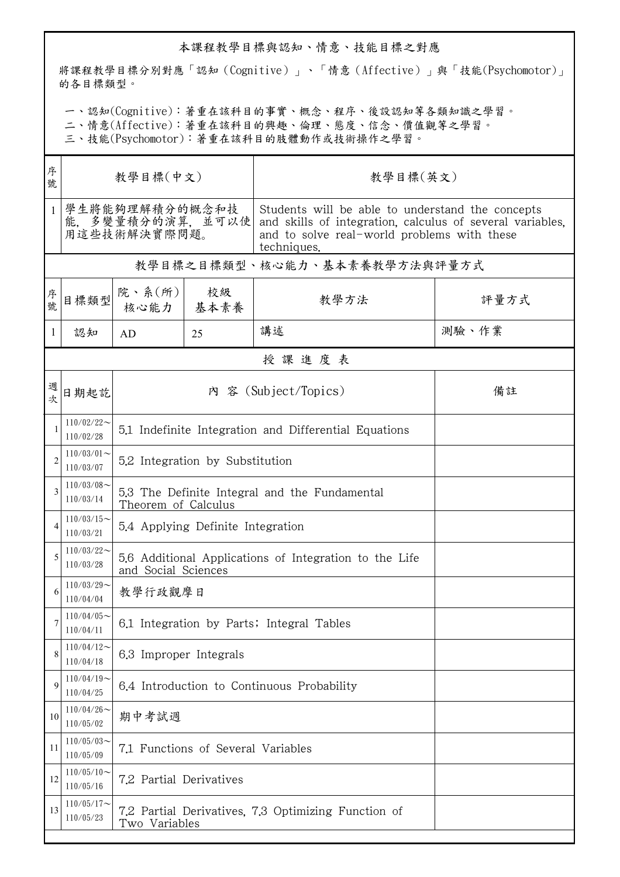## 本課程教學目標與認知、情意、技能目標之對應

將課程教學目標分別對應「認知(Cognitive)」、「情意(Affective)」與「技能(Psychomotor)」 的各目標類型。

一、認知(Cognitive):著重在該科目的事實、概念、程序、後設認知等各類知識之學習。

二、情意(Affective):著重在該科目的興趣、倫理、態度、信念、價值觀等之學習。

三、技能(Psychomotor):著重在該科目的肢體動作或技術操作之學習。

| 序<br>號         | 教學目標(中文)                                          |                                                                               |    | 教學目標(英文)                                                                                                                                                                    |       |  |  |  |  |
|----------------|---------------------------------------------------|-------------------------------------------------------------------------------|----|-----------------------------------------------------------------------------------------------------------------------------------------------------------------------------|-------|--|--|--|--|
| $\mathbf{1}$   | 學生將能夠理解積分的概念和技<br>能,多變量積分的演算,並可以使<br>用這些技術解決實際問題。 |                                                                               |    | Students will be able to understand the concepts<br>and skills of integration, calculus of several variables,<br>and to solve real-world problems with these<br>techniques. |       |  |  |  |  |
|                | 教學目標之目標類型、核心能力、基本素養教學方法與評量方式                      |                                                                               |    |                                                                                                                                                                             |       |  |  |  |  |
| 序號             | 目標類型                                              | 院、系 $(\text{m})$<br>核心能力   基本素養                                               | 校級 | 教學方法                                                                                                                                                                        | 評量方式  |  |  |  |  |
| 1              | 認知                                                | AD                                                                            | 25 | 講述                                                                                                                                                                          | 測驗、作業 |  |  |  |  |
|                | 授課進度表                                             |                                                                               |    |                                                                                                                                                                             |       |  |  |  |  |
| 週<br>欤         | 日期起訖                                              | 內 容 (Subject/Topics)<br>備註                                                    |    |                                                                                                                                                                             |       |  |  |  |  |
| 1              | $110/02/22$ ~<br>110/02/28                        | 5.1 Indefinite Integration and Differential Equations                         |    |                                                                                                                                                                             |       |  |  |  |  |
| $\overline{2}$ | $110/03/01$ ~<br>110/03/07                        | 5.2 Integration by Substitution                                               |    |                                                                                                                                                                             |       |  |  |  |  |
| 3              | $110/03/08$ ~<br>110/03/14                        | 5.3 The Definite Integral and the Fundamental<br>Theorem of Calculus          |    |                                                                                                                                                                             |       |  |  |  |  |
| 4              | $110/03/15$ ~<br>110/03/21                        | 5.4 Applying Definite Integration                                             |    |                                                                                                                                                                             |       |  |  |  |  |
| 5              | $110/03/22$ ~<br>110/03/28                        | 5.6 Additional Applications of Integration to the Life<br>and Social Sciences |    |                                                                                                                                                                             |       |  |  |  |  |
| 6              | $110/03/29$ ~<br>110/04/04                        | 教學行政觀摩日                                                                       |    |                                                                                                                                                                             |       |  |  |  |  |
|                | $110/04/05$ ~<br>110/04/11                        | 6.1 Integration by Parts; Integral Tables                                     |    |                                                                                                                                                                             |       |  |  |  |  |
| 8              | $110/04/12$ ~<br>110/04/18                        | 6.3 Improper Integrals                                                        |    |                                                                                                                                                                             |       |  |  |  |  |
| 9              | $110/04/19$ ~<br>110/04/25                        | 6.4 Introduction to Continuous Probability                                    |    |                                                                                                                                                                             |       |  |  |  |  |
| 10             | $110/04/26$ ~<br>110/05/02                        | 期中考試週                                                                         |    |                                                                                                                                                                             |       |  |  |  |  |
| 11             | $110/05/03$ ~<br>110/05/09                        | 7.1 Functions of Several Variables                                            |    |                                                                                                                                                                             |       |  |  |  |  |
| 12             | $110/05/10$ ~<br>110/05/16                        | 7.2 Partial Derivatives                                                       |    |                                                                                                                                                                             |       |  |  |  |  |
| 13             | $110/05/17$ ~<br>110/05/23                        | 7.2 Partial Derivatives, 7.3 Optimizing Function of<br>Two Variables          |    |                                                                                                                                                                             |       |  |  |  |  |